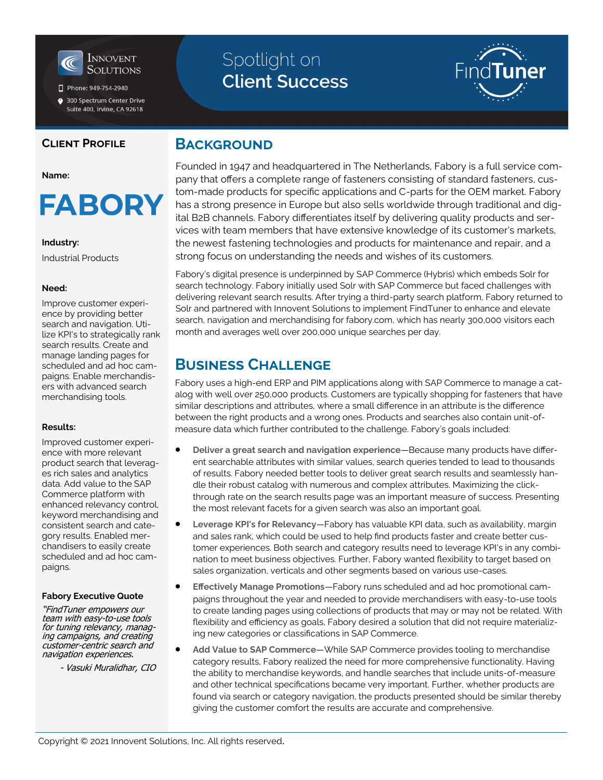

Phone: 949-754-2940

● 300 Spectrum Center Drive Suite 400, Irvine, CA 92618

### **Client Profile**

#### **Name:**

**FABORY** 

### **Industry:**

Industrial Products

#### **Need:**

Improve customer experience by providing better search and navigation. Utilize KPI's to strategically rank search results. Create and manage landing pages for scheduled and ad hoc campaigns. Enable merchandisers with advanced search merchandising tools.

### **Results:**

Improved customer experience with more relevant product search that leverages rich sales and analytics data. Add value to the SAP Commerce platform with enhanced relevancy control, keyword merchandising and consistent search and category results. Enabled merchandisers to easily create scheduled and ad hoc campaigns.

### **Fabory Executive Quote**

"FindTuner empowers our team with easy-to-use tools for tuning relevancy, managing campaigns, and creating customer-centric search and navigation experiences.

- Vasuki Muralidhar, CIO

# Spotlight on **Client Success**



### **BACKGROUND**

Founded in 1947 and headquartered in The Netherlands, Fabory is a full service company that offers a complete range of fasteners consisting of standard fasteners, custom-made products for specific applications and C-parts for the OEM market. Fabory has a strong presence in Europe but also sells worldwide through traditional and digital B2B channels. Fabory differentiates itself by delivering quality products and services with team members that have extensive knowledge of its customer's markets, the newest fastening technologies and products for maintenance and repair, and a strong focus on understanding the needs and wishes of its customers.

Fabory's digital presence is underpinned by SAP Commerce (Hybris) which embeds Solr for search technology. Fabory initially used Solr with SAP Commerce but faced challenges with delivering relevant search results. After trying a third-party search platform, Fabory returned to Solr and partnered with Innovent Solutions to implement FindTuner to enhance and elevate search, navigation and merchandising for fabory.com, which has nearly 300,000 visitors each month and averages well over 200,000 unique searches per day.

### **Business Challenge**

Fabory uses a high-end ERP and PIM applications along with SAP Commerce to manage a catalog with well over 250,000 products. Customers are typically shopping for fasteners that have similar descriptions and attributes, where a small difference in an attribute is the difference between the right products and a wrong ones. Products and searches also contain unit-ofmeasure data which further contributed to the challenge. Fabory's goals included:

- **Deliver a great search and navigation experience**—Because many products have different searchable attributes with similar values, search queries tended to lead to thousands of results. Fabory needed better tools to deliver great search results and seamlessly handle their robust catalog with numerous and complex attributes. Maximizing the clickthrough rate on the search results page was an important measure of success. Presenting the most relevant facets for a given search was also an important goal.
- **Leverage KPI's for Relevancy**—Fabory has valuable KPI data, such as availability, margin and sales rank, which could be used to help find products faster and create better customer experiences. Both search and category results need to leverage KPI's in any combination to meet business objectives. Further, Fabory wanted flexibility to target based on sales organization, verticals and other segments based on various use-cases.
- **Effectively Manage Promotions**—Fabory runs scheduled and ad hoc promotional campaigns throughout the year and needed to provide merchandisers with easy-to-use tools to create landing pages using collections of products that may or may not be related. With flexibility and efficiency as goals, Fabory desired a solution that did not require materializing new categories or classifications in SAP Commerce.
- **Add Value to SAP Commerce**—While SAP Commerce provides tooling to merchandise category results, Fabory realized the need for more comprehensive functionality. Having the ability to merchandise keywords, and handle searches that include units-of-measure and other technical specifications became very important. Further, whether products are found via search or category navigation, the products presented should be similar thereby giving the customer comfort the results are accurate and comprehensive.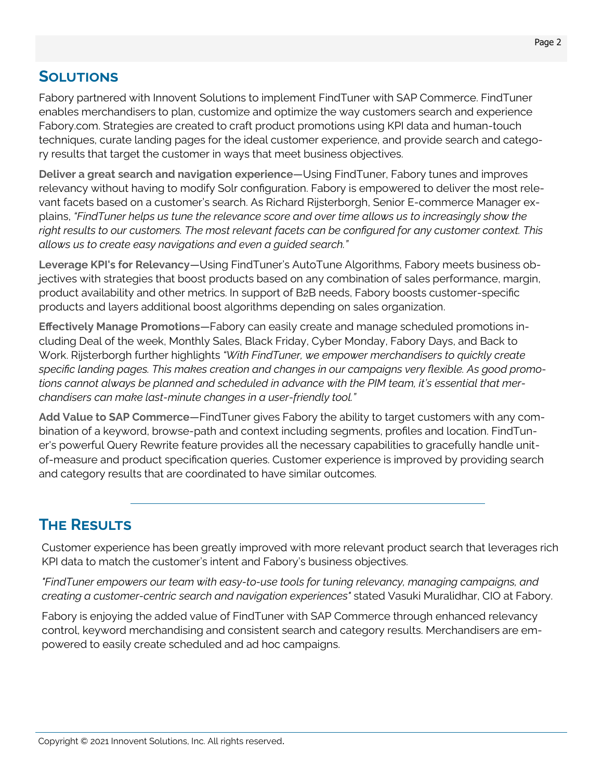## **Solutions**

Fabory partnered with Innovent Solutions to implement FindTuner with SAP Commerce. FindTuner enables merchandisers to plan, customize and optimize the way customers search and experience Fabory.com. Strategies are created to craft product promotions using KPI data and human-touch techniques, curate landing pages for the ideal customer experience, and provide search and category results that target the customer in ways that meet business objectives.

**Deliver a great search and navigation experience**—Using FindTuner, Fabory tunes and improves relevancy without having to modify Solr configuration. Fabory is empowered to deliver the most relevant facets based on a customer's search. As Richard Rijsterborgh, Senior E-commerce Manager explains, *"FindTuner helps us tune the relevance score and over time allows us to increasingly show the right results to our customers. The most relevant facets can be configured for any customer context. This allows us to create easy navigations and even a guided search."*

**Leverage KPI's for Relevancy**—Using FindTuner's AutoTune Algorithms, Fabory meets business objectives with strategies that boost products based on any combination of sales performance, margin, product availability and other metrics. In support of B2B needs, Fabory boosts customer-specific products and layers additional boost algorithms depending on sales organization.

**Effectively Manage Promotions**—Fabory can easily create and manage scheduled promotions including Deal of the week, Monthly Sales, Black Friday, Cyber Monday, Fabory Days, and Back to Work. Rijsterborgh further highlights *"With FindTuner, we empower merchandisers to quickly create specific landing pages. This makes creation and changes in our campaigns very flexible. As good promotions cannot always be planned and scheduled in advance with the PIM team, it's essential that merchandisers can make last-minute changes in a user-friendly tool."*

**Add Value to SAP Commerce**—FindTuner gives Fabory the ability to target customers with any combination of a keyword, browse-path and context including segments, profiles and location. FindTuner's powerful Query Rewrite feature provides all the necessary capabilities to gracefully handle unitof-measure and product specification queries. Customer experience is improved by providing search and category results that are coordinated to have similar outcomes.

# **The Results**

Customer experience has been greatly improved with more relevant product search that leverages rich KPI data to match the customer's intent and Fabory's business objectives.

*"FindTuner empowers our team with easy-to-use tools for tuning relevancy, managing campaigns, and creating a customer-centric search and navigation experiences"* stated Vasuki Muralidhar, CIO at Fabory.

Fabory is enjoying the added value of FindTuner with SAP Commerce through enhanced relevancy control, keyword merchandising and consistent search and category results. Merchandisers are empowered to easily create scheduled and ad hoc campaigns.